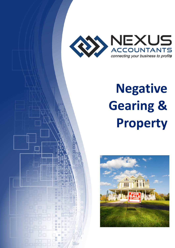

## Negative Gearing & Property



ă'n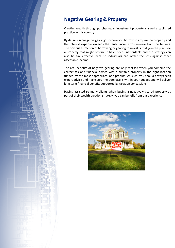## Negative Gearing & Property

Creating wealth through purchasing an investment property is a well established practice in this country.

By definition, 'negative gearing' is where you borrow to acquire the property and the interest expense exceeds the rental income you receive from the tenants. The obvious attraction of borrowing or gearing to invest is that you can purchase a property that might otherwise have been unaffordable and the strategy can also be tax effective because individuals can offset the loss against other assessable income.

The real benefits of negative gearing are only realised when you combine the correct tax and financial advice with a suitable property in the right location funded by the most appropriate loan product. As such, you should always seek expert advice and make sure the purchase is within your budget and will deliver long term financial benefits supported by taxation concessions.

Having assisted so many clients when buying a negatively geared property as part of their wealth creation strategy, you can benefit from our experience.

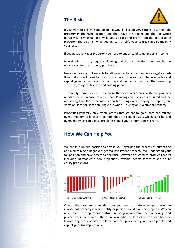



If you were to believe some people it would all seem very simple - buy the right property in the right location and then have the tenant and the Tax Office partially fund your tax loss while you sit back and profit from the appreciating property. The truth is, while gearing can amplify your gain it can also magnify your losses.

If you negatively gear property, you need to understand some important points:

Investing in property requires planning and the tax benefits should not be the only reason for the property purchase.

Negative Gearing isn't suitable for all investors because it implies a negative cash flow that you will need to fund from other income sources. The income tax and capital gains tax implications will depend on factors such as the ownership structure, marginal tax rate and holding period.

The family home is a purchase from the heart while an investment property needs to be a purchase from the head. Planning and research is required and the old saying that the three most important things when buying a property are 'location, location, location' rings true when buying an investment property.

Properties generally only create profits through capital gains that accumulate over a medium to long term period. They are illiquid assets which can't be sold overnight which could pose problems should your circumstances change.

## How We Can Help You

We are in a unique position to advise you regarding the process of purchasing and maintaining a negatively geared investment property. We understand your tax position and have access to analytical software designed to produce reports including 10 year cash flow projections, taxable income forecasts and future equity predictions.



One of the most important decisions you need to make when purchasing an investment property is which entity or person should own the property. We can recommend the appropriate structure so you maximize the tax savings and protect your investment. There are a number of factors to consider because transferring the property at a later date can prove costly with stamp duty and capital gains tax implications.